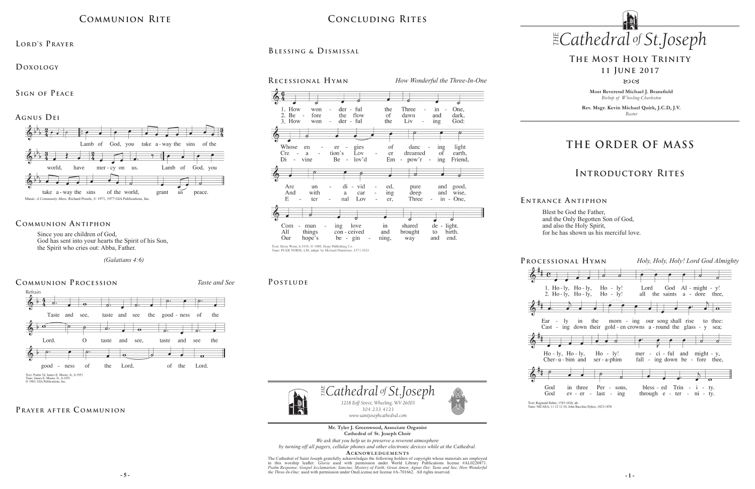**Most Reverend Michael J. Bransfield** *Bishop of Wheeling-Charleston*

**Rev. Msgr. Kevin Michael Quirk, J.C.D, J.V.** *Rector*

*1218 Eoff Street, Wheeling, WV 26003 304.233.4121 304.233.4121*

 $\mathbb{E}$ Cathedral of St.Joseph

to

and

birth.

end.

#### *Cathedral St THE of .Joseph Cathedral St THE of .Joseph* **Concluding Rites**

## **THE ORDER OF MASS**

## **Introductory Rites**

# **The Most Holy Trinity**

## **11 June 2017**

#### 8003

*www.saintjosephcathedral.com www.saintjosephcathedral.com* **Mr. Tyler J. Greenwood, Associate Organist Cathedral of St. Joseph Choir**

Blest be God the Father, and the Only Begotten Son of God, and also the Holy Spirit, for he has shown us his merciful love.

| PROCESSIONAL HYMN                                                                                                                     | Holy, Holy, Holy! Lord God Almighty                                           |
|---------------------------------------------------------------------------------------------------------------------------------------|-------------------------------------------------------------------------------|
| d                                                                                                                                     |                                                                               |
| 2. Ho-ly, Ho-ly, Ho-ly!                                                                                                               | 1. Ho-ly, Ho-ly, Ho-ly! Lord God Al-might-y!<br>all the saints a - dore thee, |
|                                                                                                                                       | $\bullet$                                                                     |
| Ear - ly in the morn - ing our song shall rise to thee:<br>Cast - ing down their gold - en crowns $a$ - round the glass - $y$<br>sea: |                                                                               |
|                                                                                                                                       |                                                                               |
| $Ho - ly$ , $Ho - ly$ , $Ho - ly$ !<br>Cher- $u$ -bim and ser-a-phim                                                                  | mer - $ci$ - ful and might - y,<br>fall - ing down be - fore thee,            |
|                                                                                                                                       |                                                                               |
| God<br>in three Per - sons,<br>$ev - er - last - ing$<br>God                                                                          | bless - ed Trin - $i$ - ty.<br>through $e$ - ter - $ni$ - ty.                 |
| Tort: Dominald Hobor 1792-1926, alt                                                                                                   |                                                                               |

Text: Reginald Heber, 1783-1826, alt.<br>Tune: NICAEA, 11 12 12 10; John Bacchus Dykes, 1823-1876

#### **E ntrance A ntiphon**



### PRAYER AFTER COMMUNION

Since you are children of God, God has sent into your hearts the Spirit of his Son, the Spirit who cries out: Abba, Father.

 *(Galatians 4:6)* 

## **Communion Antiphon**



and

ning,

 $\sim$ 

brought

way

Text: Brian Wren, b.1936, © 1989, Hope Publishing Co. Tune: PUER NOBIS, LM; adapt. by Michael Praetorius, 1571-1621

con - ceived

be -  $\sin$ 

things

hope's

*We ask that you help us to preserve a reverent atmosphere by turning off all pagers, cellular phones and other electronic devices while at the Cathedral.*

ACKNOWLEDGEMENTS

**5 -** 5 - **1** - **1** - **1** - **1** - **1** - **1** - **1** - **1** - **1** - **1** - **1** - **1** - **1** - **1** - **1** - **1** - **1** - **1** - **1** - **1** - **1** - **1** - **1** - **1** - **1** - **1** - **1** - **1** - **1** - **1** - **1** - **1** - **1** - **1** - **1** - **1** The Cathedral of Saint Joseph gratefully acknowledges the following holders of copyright whose materials are employed<br>in this worship leaflet: *Gloria* used with permission under World Library Publications license #AL02208



## **Communion Rite**

**Lord's Prayer**

**Doxology** 

**Sign of Peace** 



**Blessing & Dismissal**

#### POSTLUDE

All

Our